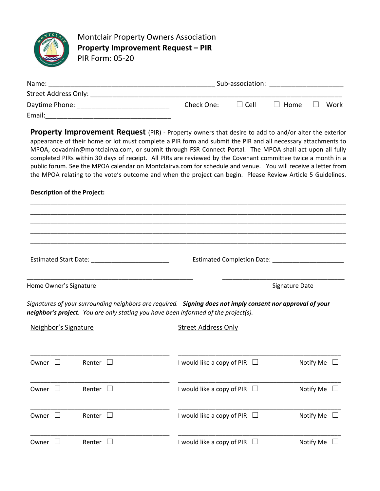

Montclair Property Owners Association Property Improvement Request – PIR PIR Form: 05-20

| Name:                | Sub-association: |          |      |  |      |
|----------------------|------------------|----------|------|--|------|
| Street Address Only: |                  |          |      |  |      |
| Daytime Phone:       | Check One:       | l I Cell | Home |  | Work |
| Email:               |                  |          |      |  |      |

Property Improvement Request (PIR) - Property owners that desire to add to and/or alter the exterior appearance of their home or lot must complete a PIR form and submit the PIR and all necessary attachments to MPOA, covadmin@montclairva.com, or submit through FSR Connect Portal. The MPOA shall act upon all fully completed PIRs within 30 days of receipt. All PIRs are reviewed by the Covenant committee twice a month in a public forum. See the MPOA calendar on Montclairva.com for schedule and venue. You will receive a letter from the MPOA relating to the vote's outcome and when the project can begin. Please Review Article 5 Guidelines.

## Description of the Project:

\_\_\_\_\_\_\_\_\_\_\_\_\_\_\_\_\_\_\_\_\_\_\_\_\_\_\_\_\_\_\_\_\_\_\_\_\_\_\_\_\_\_\_\_\_\_\_\_\_\_\_\_\_\_\_\_\_\_\_\_\_\_\_\_\_\_\_\_\_\_\_\_\_\_\_\_\_\_\_\_\_\_\_\_\_\_\_\_\_\_\_\_\_ \_\_\_\_\_\_\_\_\_\_\_\_\_\_\_\_\_\_\_\_\_\_\_\_\_\_\_\_\_\_\_\_\_\_\_\_\_\_\_\_\_\_\_\_\_\_\_\_\_\_\_\_\_\_\_\_\_\_\_\_\_\_\_\_\_\_\_\_\_\_\_\_\_\_\_\_\_\_\_\_\_\_\_\_\_\_\_\_\_\_\_\_\_ \_\_\_\_\_\_\_\_\_\_\_\_\_\_\_\_\_\_\_\_\_\_\_\_\_\_\_\_\_\_\_\_\_\_\_\_\_\_\_\_\_\_\_\_\_\_\_\_\_\_\_\_\_\_\_\_\_\_\_\_\_\_\_\_\_\_\_\_\_\_\_\_\_\_\_\_\_\_\_\_\_\_\_\_\_\_\_\_\_\_\_\_\_ \_\_\_\_\_\_\_\_\_\_\_\_\_\_\_\_\_\_\_\_\_\_\_\_\_\_\_\_\_\_\_\_\_\_\_\_\_\_\_\_\_\_\_\_\_\_\_\_\_\_\_\_\_\_\_\_\_\_\_\_\_\_\_\_\_\_\_\_\_\_\_\_\_\_\_\_\_\_\_\_\_\_\_\_\_\_\_\_\_\_\_\_\_ \_\_\_\_\_\_\_\_\_\_\_\_\_\_\_\_\_\_\_\_\_\_\_\_\_\_\_\_\_\_\_\_\_\_\_\_\_\_\_\_\_\_\_\_\_\_\_\_\_\_\_\_\_\_\_\_\_\_\_\_\_\_\_\_\_\_\_\_\_\_\_\_\_\_\_\_\_\_\_\_\_\_\_\_\_\_\_\_\_\_\_\_\_ Estimated Start Date: \_\_\_\_\_\_\_\_\_\_\_\_\_\_\_\_\_\_\_\_\_\_\_ Estimated Completion Date: \_\_\_\_\_\_\_\_\_\_\_\_\_\_\_\_\_\_\_\_\_

\_\_\_\_\_\_\_\_\_\_\_\_\_\_\_\_\_\_\_\_\_\_\_\_\_\_\_\_\_\_\_\_\_\_\_\_\_\_\_\_\_\_\_\_\_\_\_\_\_ \_\_\_\_\_\_\_\_\_\_\_\_\_\_\_\_\_\_\_\_\_\_\_\_\_\_\_\_\_\_\_\_\_\_\_\_

Home Owner's Signature Signature Signature Date Signature Date Signature Date Signature Date

Signatures of your surrounding neighbors are required. Signing does not imply consent nor approval of your neighbor's project. You are only stating you have been informed of the project(s).

| Neighbor's Signature  |               | <b>Street Address Only</b>        |                  |  |  |
|-----------------------|---------------|-----------------------------------|------------------|--|--|
| Owner<br>$\mathbf{1}$ | Renter $\Box$ | I would like a copy of PIR $\Box$ | Notify Me $\Box$ |  |  |
| Owner<br>$\mathbf{L}$ | Renter $\Box$ | I would like a copy of PIR $\Box$ | Notify Me $\Box$ |  |  |
| Owner<br>$\mathbf{1}$ | Renter $\Box$ | I would like a copy of PIR $\Box$ | Notify Me $\Box$ |  |  |
| Owner                 | Renter        | I would like a copy of PIR $\Box$ | Notify Me        |  |  |